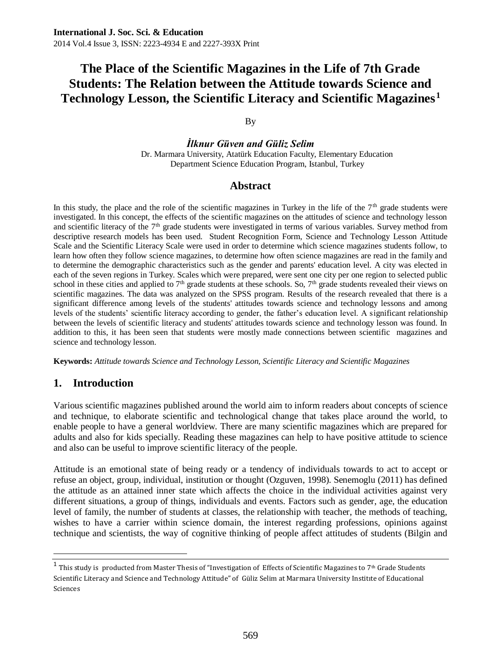#### By

*İlknur Güven and Güliz Selim* Dr. Marmara University, Atatürk Education Faculty, Elementary Education Department Science Education Program, Istanbul, Turkey

### **Abstract**

In this study, the place and the role of the scientific magazines in Turkey in the life of the  $7<sup>th</sup>$  grade students were investigated. In this concept, the effects of the scientific magazines on the attitudes of science and technology lesson and scientific literacy of the  $7<sup>th</sup>$  grade students were investigated in terms of various variables. Survey method from descriptive research models has been used. Student Recognition Form, Science and Technology Lesson Attitude Scale and the Scientific Literacy Scale were used in order to determine which science magazines students follow, to learn how often they follow science magazines, to determine how often science magazines are read in the family and to determine the demographic characteristics such as the gender and parents' education level. A city was elected in each of the seven regions in Turkey. Scales which were prepared, were sent one city per one region to selected public school in these cities and applied to  $7<sup>th</sup>$  grade students at these schools. So,  $7<sup>th</sup>$  grade students revealed their views on scientific magazines. The data was analyzed on the SPSS program. Results of the research revealed that there is a significant difference among levels of the students' attitudes towards science and technology lessons and among levels of the students' scientific literacy according to gender, the father's education level. A significant relationship between the levels of scientific literacy and students' attitudes towards science and technology lesson was found. In addition to this, it has been seen that students were mostly made connections between scientific magazines and science and technology lesson.

**Keywords:** *Attitude towards Science and Technology Lesson, Scientific Literacy and Scientific Magazines*

# **1. Introduction**

 $\ddot{\phantom{a}}$ 

Various scientific magazines published around the world aim to inform readers about concepts of science and technique, to elaborate scientific and technological change that takes place around the world, to enable people to have a general worldview. There are many scientific magazines which are prepared for adults and also for kids specially. Reading these magazines can help to have positive attitude to science and also can be useful to improve scientific literacy of the people.

Attitude is an emotional state of being ready or a tendency of individuals towards to act to accept or refuse an object, group, individual, institution or thought (Ozguven, 1998). Senemoglu (2011) has defined the attitude as an attained inner state which affects the choice in the individual activities against very different situations, a group of things, individuals and events. Factors such as gender, age, the education level of family, the number of students at classes, the relationship with teacher, the methods of teaching, wishes to have a carrier within science domain, the interest regarding professions, opinions against technique and scientists, the way of cognitive thinking of people affect attitudes of students (Bilgin and

 $^1$  This study is producted from Master Thesis of "Investigation of Effects of Scientific Magazines to 7th Grade Students Scientific Literacy and Science and Technology Attitude" of Güliz Selim at Marmara University Institıte of Educational Sciences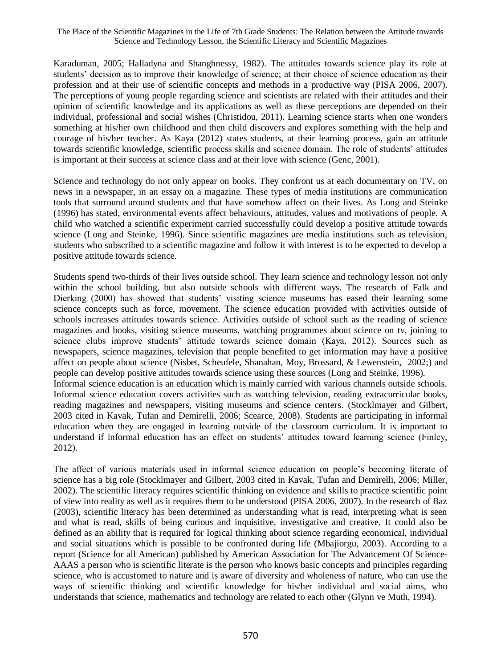Karaduman, 2005; Halladyna and Shanghnessy, 1982). The attitudes towards science play its role at students' decision as to improve their knowledge of science; at their choice of science education as their profession and at their use of scientific concepts and methods in a productive way (PISA 2006, 2007). The perceptions of young people regarding science and scientists are related with their attitudes and their opinion of scientific knowledge and its applications as well as these perceptions are depended on their individual, professional and social wishes (Christidou, 2011). Learning science starts when one wonders something at his/her own childhood and then child discovers and explores something with the help and courage of his/her teacher. As Kaya (2012) states students, at their learning process, gain an attitude towards scientific knowledge, scientific process skills and science domain. The role of students' attitudes is important at their success at science class and at their love with science (Genc, 2001).

Science and technology do not only appear on books. They confront us at each documentary on TV, on news in a newspaper, in an essay on a magazine. These types of media institutions are communication tools that surround around students and that have somehow affect on their lives. As Long and Steinke (1996) has stated, environmental events affect behaviours, attitudes, values and motivations of people. A child who watched a scientific experiment carried successfully could develop a positive attitude towards science (Long and Steinke, 1996). Since scientific magazines are media institutions such as television, students who subscribed to a scientific magazine and follow it with interest is to be expected to develop a positive attitude towards science.

Students spend two-thirds of their lives outside school. They learn science and technology lesson not only within the school building, but also outside schools with different ways. The research of Falk and Dierking (2000) has showed that students' visiting science museums has eased their learning some science concepts such as force, movement. The science education provided with activities outside of schools increases attitudes towards science. Activities outside of school such as the reading of science magazines and books, visiting science museums, watching programmes about science on tv, joining to science clubs improve students' attitude towards science domain (Kaya, 2012). Sources such as newspapers, science magazines, television that people benefited to get information may have a positive affect on people about science (Nisbet, Scheufele, Shanahan, Moy, Brossard, & Lewenstein, 2002;) and people can develop positive attitudes towards science using these sources (Long and Steinke, 1996). Informal science education is an education which is mainly carried with various channels outside schools. Informal science education covers activities such as watching television, reading extracurricular books, reading magazines and newspapers, visiting museums and science centers. (Stocklmayer and Gilbert, 2003 cited in Kavak, Tufan and Demirelli, 2006; Scearce, 2008). Students are participating in informal education when they are engaged in learning outside of the classroom curriculum. It is important to understand if informal education has an effect on students' attitudes toward learning science (Finley, 2012).

The affect of various materials used in informal science education on people's becoming literate of science has a big role (Stocklmayer and Gilbert, 2003 cited in Kavak, Tufan and Demirelli, 2006; Miller, 2002). The scientific literacy requires scientific thinking on evidence and skills to practice scientific point of view into reality as well as it requires them to be understood (PISA 2006, 2007). In the research of Baz (2003), scientific literacy has been determined as understanding what is read, interpreting what is seen and what is read, skills of being curious and inquisitive, investigative and creative. It could also be defined as an ability that is required for logical thinking about science regarding economical, individual and social situations which is possible to be confronted during life (Mbajiorgu, 2003). According to a report (Science for all American) published by American Association for The Advancement Of Science-AAAS a person who is scientific literate is the person who knows basic concepts and principles regarding science, who is accustomed to nature and is aware of diversity and wholeness of nature, who can use the ways of scientific thinking and scientific knowledge for his/her individual and social aims, who understands that science, mathematics and technology are related to each other (Glynn ve Muth, 1994).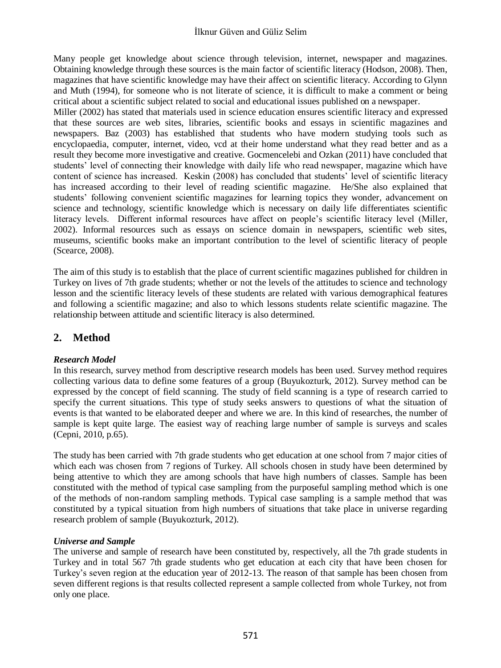Many people get knowledge about science through television, internet, newspaper and magazines. Obtaining knowledge through these sources is the main factor of scientific literacy (Hodson, 2008). Then, magazines that have scientific knowledge may have their affect on scientific literacy. According to Glynn and Muth (1994), for someone who is not literate of science, it is difficult to make a comment or being critical about a scientific subject related to social and educational issues published on a newspaper.

Miller (2002) has stated that materials used in science education ensures scientific literacy and expressed that these sources are web sites, libraries, scientific books and essays in scientific magazines and newspapers. Baz (2003) has established that students who have modern studying tools such as encyclopaedia, computer, internet, video, vcd at their home understand what they read better and as a result they become more investigative and creative. Gocmencelebi and Ozkan (2011) have concluded that students' level of connecting their knowledge with daily life who read newspaper, magazine which have content of science has increased. Keskin (2008) has concluded that students' level of scientific literacy has increased according to their level of reading scientific magazine. He/She also explained that students' following convenient scientific magazines for learning topics they wonder, advancement on science and technology, scientific knowledge which is necessary on daily life differentiates scientific literacy levels. Different informal resources have affect on people's scientific literacy level (Miller, 2002). Informal resources such as essays on science domain in newspapers, scientific web sites, museums, scientific books make an important contribution to the level of scientific literacy of people (Scearce, 2008).

The aim of this study is to establish that the place of current scientific magazines published for children in Turkey on lives of 7th grade students; whether or not the levels of the attitudes to science and technology lesson and the scientific literacy levels of these students are related with various demographical features and following a scientific magazine; and also to which lessons students relate scientific magazine. The relationship between attitude and scientific literacy is also determined.

# **2. Method**

# *Research Model*

In this research, survey method from descriptive research models has been used. Survey method requires collecting various data to define some features of a group (Buyukozturk, 2012). Survey method can be expressed by the concept of field scanning. The study of field scanning is a type of research carried to specify the current situations. This type of study seeks answers to questions of what the situation of events is that wanted to be elaborated deeper and where we are. In this kind of researches, the number of sample is kept quite large. The easiest way of reaching large number of sample is surveys and scales (Cepni, 2010, p.65).

The study has been carried with 7th grade students who get education at one school from 7 major cities of which each was chosen from 7 regions of Turkey. All schools chosen in study have been determined by being attentive to which they are among schools that have high numbers of classes. Sample has been constituted with the method of typical case sampling from the purposeful sampling method which is one of the methods of non-random sampling methods. Typical case sampling is a sample method that was constituted by a typical situation from high numbers of situations that take place in universe regarding research problem of sample (Buyukozturk, 2012).

### *Universe and Sample*

The universe and sample of research have been constituted by, respectively, all the 7th grade students in Turkey and in total 567 7th grade students who get education at each city that have been chosen for Turkey's seven region at the education year of 2012-13. The reason of that sample has been chosen from seven different regions is that results collected represent a sample collected from whole Turkey, not from only one place.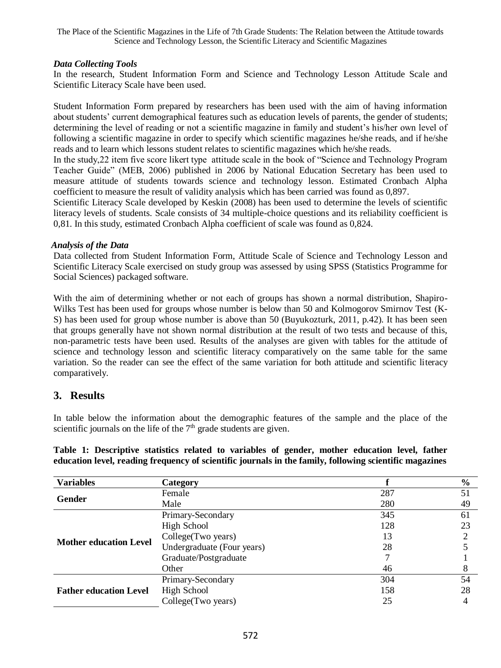#### *Data Collecting Tools*

In the research, Student Information Form and Science and Technology Lesson Attitude Scale and Scientific Literacy Scale have been used.

Student Information Form prepared by researchers has been used with the aim of having information about students' current demographical features such as education levels of parents, the gender of students; determining the level of reading or not a scientific magazine in family and student's his/her own level of following a scientific magazine in order to specify which scientific magazines he/she reads, and if he/she reads and to learn which lessons student relates to scientific magazines which he/she reads.

In the study,22 item five score likert type attitude scale in the book of "Science and Technology Program Teacher Guide" (MEB, 2006) published in 2006 by National Education Secretary has been used to measure attitude of students towards science and technology lesson. Estimated Cronbach Alpha coefficient to measure the result of validity analysis which has been carried was found as 0,897.

Scientific Literacy Scale developed by Keskin (2008) has been used to determine the levels of scientific literacy levels of students. Scale consists of 34 multiple-choice questions and its reliability coefficient is 0,81. In this study, estimated Cronbach Alpha coefficient of scale was found as 0,824.

#### *Analysis of the Data*

Data collected from Student Information Form, Attitude Scale of Science and Technology Lesson and Scientific Literacy Scale exercised on study group was assessed by using SPSS (Statistics Programme for Social Sciences) packaged software.

With the aim of determining whether or not each of groups has shown a normal distribution, Shapiro-Wilks Test has been used for groups whose number is below than 50 and Kolmogorov Smirnov Test (K-S) has been used for group whose number is above than 50 (Buyukozturk, 2011, p.42). It has been seen that groups generally have not shown normal distribution at the result of two tests and because of this, non-parametric tests have been used. Results of the analyses are given with tables for the attitude of science and technology lesson and scientific literacy comparatively on the same table for the same variation. So the reader can see the effect of the same variation for both attitude and scientific literacy comparatively.

# **3. Results**

In table below the information about the demographic features of the sample and the place of the scientific journals on the life of the  $7<sup>th</sup>$  grade students are given.

**Table 1: Descriptive statistics related to variables of gender, mother education level, father education level, reading frequency of scientific journals in the family, following scientific magazines**

| <b>Variables</b>              | Category                                                                                                                                                           |     | $\frac{0}{0}$ |
|-------------------------------|--------------------------------------------------------------------------------------------------------------------------------------------------------------------|-----|---------------|
| Gender                        | Female                                                                                                                                                             | 287 | 51            |
|                               | Male<br>Primary-Secondary<br>High School<br>College(Two years)<br>Undergraduate (Four years)<br>Graduate/Postgraduate<br>Other<br>Primary-Secondary<br>High School | 280 | 49            |
|                               |                                                                                                                                                                    | 345 | 61            |
|                               |                                                                                                                                                                    | 128 | 23            |
| <b>Mother education Level</b> |                                                                                                                                                                    | 13  |               |
|                               |                                                                                                                                                                    | 28  |               |
|                               |                                                                                                                                                                    |     |               |
|                               |                                                                                                                                                                    | 46  |               |
|                               |                                                                                                                                                                    | 304 | 54            |
| <b>Father education Level</b> |                                                                                                                                                                    | 158 | 28            |
|                               | College (Two years)                                                                                                                                                | 25  |               |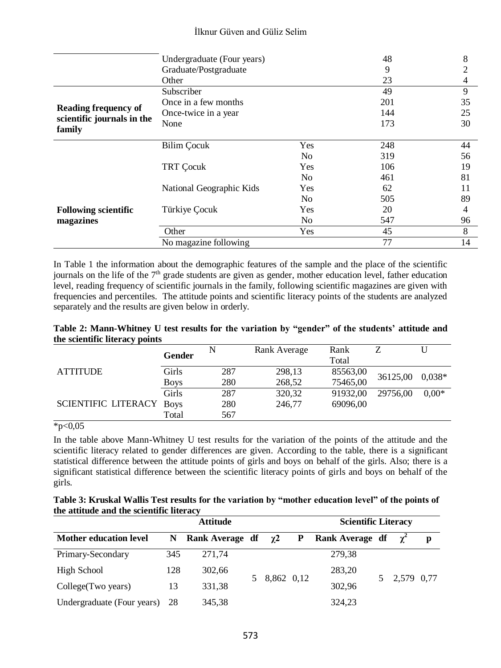|                                      | Undergraduate (Four years) |                | 48  | 8  |
|--------------------------------------|----------------------------|----------------|-----|----|
|                                      | Graduate/Postgraduate      |                | 9   | 2  |
|                                      | Other                      |                | 23  | 4  |
|                                      | Subscriber                 |                | 49  | 9  |
|                                      | Once in a few months       |                | 201 | 35 |
| <b>Reading frequency of</b>          | Once-twice in a year       |                | 144 | 25 |
| scientific journals in the<br>family | None                       |                | 173 | 30 |
|                                      |                            |                |     |    |
|                                      | <b>Bilim Cocuk</b>         | Yes            | 248 | 44 |
|                                      |                            | N <sub>0</sub> | 319 | 56 |
|                                      | <b>TRT Cocuk</b>           | Yes            | 106 | 19 |
|                                      |                            | N <sub>0</sub> | 461 | 81 |
|                                      | National Geographic Kids   | Yes            | 62  | 11 |
|                                      |                            | N <sub>0</sub> | 505 | 89 |
| <b>Following scientific</b>          | Türkiye Çocuk              | Yes            | 20  | 4  |
| magazines                            |                            | N <sub>0</sub> | 547 | 96 |
|                                      | Other                      | Yes            | 45  | 8  |
|                                      | No magazine following      |                | 77  | 14 |

In Table 1 the information about the demographic features of the sample and the place of the scientific journals on the life of the  $7<sup>th</sup>$  grade students are given as gender, mother education level, father education level, reading frequency of scientific journals in the family, following scientific magazines are given with frequencies and percentiles. The attitude points and scientific literacy points of the students are analyzed separately and the results are given below in orderly.

#### **Table 2: Mann-Whitney U test results for the variation by "gender" of the students' attitude and the scientific literacy points**

|                                 | Gender               |            | Rank Average     | Rank<br>Total        |          |          |
|---------------------------------|----------------------|------------|------------------|----------------------|----------|----------|
| <b>ATTITUDE</b>                 | Girls                | 287        | 298,13           | 85563,00             | 36125,00 | $0.038*$ |
| <b>SCIENTIFIC LITERACY Boys</b> | <b>Boys</b><br>Girls | 280<br>287 | 268,52<br>320,32 | 75465,00<br>91932.00 | 29756,00 | $0.00*$  |
|                                 |                      | 280        | 246.77           | 69096.00             |          |          |
|                                 | Total                | 567        |                  |                      |          |          |

 $*p<0,05$ 

In the table above Mann-Whitney U test results for the variation of the points of the attitude and the scientific literacy related to gender differences are given. According to the table, there is a significant statistical difference between the attitude points of girls and boys on behalf of the girls. Also; there is a significant statistical difference between the scientific literacy points of girls and boys on behalf of the girls.

| Table 3: Kruskal Wallis Test results for the variation by "mother education level" of the points of |  |
|-----------------------------------------------------------------------------------------------------|--|
| the attitude and the scientific literacy                                                            |  |

|                               | <b>Scientific Literacy</b> |                 |              |   |                 |  |              |   |
|-------------------------------|----------------------------|-----------------|--------------|---|-----------------|--|--------------|---|
| <b>Mother education level</b> | N                          | Rank Average df | $\gamma$ 2   | P | Rank Average df |  | $\gamma^2$   | p |
| Primary-Secondary             | 345                        | 271,74          |              |   | 279,38          |  |              |   |
| High School                   | 128                        | 302,66          |              |   | 283,20          |  |              |   |
| College (Two years)           | 13                         | 331,38          | 5 8,862 0,12 |   | 302,96          |  | 5 2,579 0,77 |   |
| Undergraduate (Four years)    | - 28                       | 345,38          |              |   | 324,23          |  |              |   |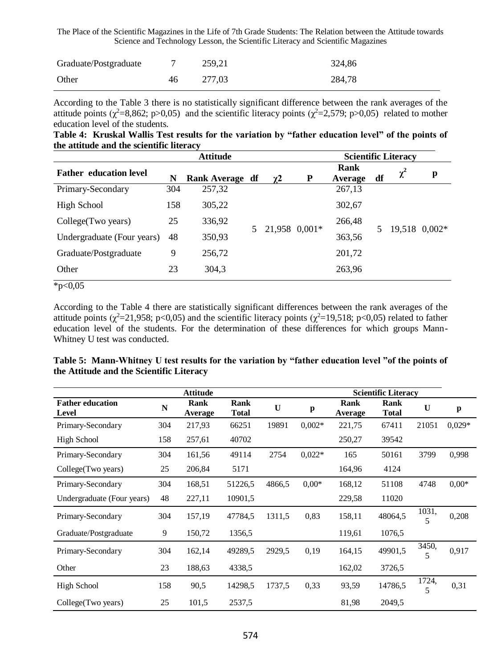| Graduate/Postgraduate |    | 259.21 | 324.86 |
|-----------------------|----|--------|--------|
| Other                 | 46 | 277.03 | 284,78 |

According to the Table 3 there is no statistically significant difference between the rank averages of the attitude points ( $\chi^2$ =8,862; p>0,05) and the scientific literacy points ( $\chi^2$ =2,579; p>0,05) related to mother education level of the students.

|  | Table 4: Kruskal Wallis Test results for the variation by "father education level" of the points of |  |  |  |  |
|--|-----------------------------------------------------------------------------------------------------|--|--|--|--|
|  | the attitude and the scientific literacy                                                            |  |  |  |  |

|                               |     | <b>Attitude</b> |                 |   |                 |    | <b>Scientific Literacy</b> |               |
|-------------------------------|-----|-----------------|-----------------|---|-----------------|----|----------------------------|---------------|
| <b>Father education level</b> | N   | Rank Average df | $\chi$ 2        | P | Rank<br>Average | df | $\chi^2$                   | p             |
| Primary-Secondary             | 304 | 257,32          |                 |   | 267,13          |    |                            |               |
| High School                   | 158 | 305,22          |                 |   | 302,67          |    |                            |               |
| College (Two years)           | 25  | 336,92          | 5 21,958 0,001* |   | 266,48          |    |                            | 19,518 0,002* |
| Undergraduate (Four years)    | 48  | 350,93          |                 |   | 363,56          |    |                            |               |
| Graduate/Postgraduate         | 9   | 256,72          |                 |   | 201,72          |    |                            |               |
| Other<br>4.007                | 23  | 304,3           |                 |   | 263,96          |    |                            |               |

 $*p<0,05$ 

According to the Table 4 there are statistically significant differences between the rank averages of the attitude points ( $\chi^2$ =21,958; p<0,05) and the scientific literacy points ( $\chi^2$ =19,518; p<0,05) related to father education level of the students. For the determination of these differences for which groups Mann-Whitney U test was conducted.

|                                  |     | <b>Attitude</b> |                      |        |          |                 | <b>Scientific Literacy</b> |            |          |
|----------------------------------|-----|-----------------|----------------------|--------|----------|-----------------|----------------------------|------------|----------|
| <b>Father education</b><br>Level | N   | Rank<br>Average | Rank<br><b>Total</b> | U      | p        | Rank<br>Average | Rank<br><b>Total</b>       | U          | p        |
| Primary-Secondary                | 304 | 217,93          | 66251                | 19891  | $0.002*$ | 221,75          | 67411                      | 21051      | $0.029*$ |
| High School                      | 158 | 257,61          | 40702                |        |          | 250,27          | 39542                      |            |          |
| Primary-Secondary                | 304 | 161,56          | 49114                | 2754   | $0.022*$ | 165             | 50161                      | 3799       | 0,998    |
| College (Two years)              | 25  | 206,84          | 5171                 |        |          | 164,96          | 4124                       |            |          |
| Primary-Secondary                | 304 | 168,51          | 51226,5              | 4866,5 | $0.00*$  | 168,12          | 51108                      | 4748       | $0.00*$  |
| Undergraduate (Four years)       | 48  | 227,11          | 10901,5              |        |          | 229,58          | 11020                      |            |          |
| Primary-Secondary                | 304 | 157,19          | 47784,5              | 1311,5 | 0,83     | 158,11          | 48064,5                    | 1031,<br>5 | 0,208    |
| Graduate/Postgraduate            | 9   | 150,72          | 1356,5               |        |          | 119,61          | 1076,5                     |            |          |
| Primary-Secondary                | 304 | 162,14          | 49289,5              | 2929,5 | 0,19     | 164,15          | 49901,5                    | 3450,<br>5 | 0,917    |
| Other                            | 23  | 188,63          | 4338.5               |        |          | 162,02          | 3726,5                     |            |          |
| High School                      | 158 | 90.5            | 14298,5              | 1737,5 | 0.33     | 93,59           | 14786,5                    | 1724,<br>5 | 0,31     |
| College (Two years)              | 25  | 101,5           | 2537,5               |        |          | 81,98           | 2049,5                     |            |          |

**Table 5: Mann-Whitney U test results for the variation by "father education level "of the points of the Attitude and the Scientific Literacy**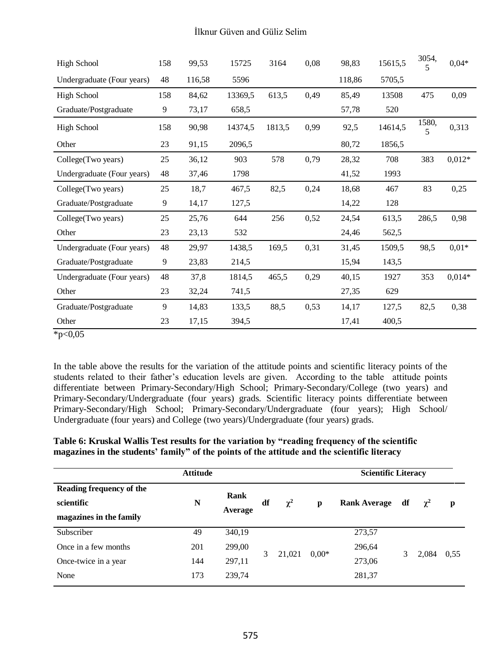| <b>High School</b>         | 158 | 99,53  | 15725   | 3164   | 0,08 | 98,83  | 15615,5 | 3054,<br>5 | $0,04*$  |
|----------------------------|-----|--------|---------|--------|------|--------|---------|------------|----------|
| Undergraduate (Four years) | 48  | 116,58 | 5596    |        |      | 118,86 | 5705,5  |            |          |
| High School                | 158 | 84,62  | 13369,5 | 613,5  | 0,49 | 85,49  | 13508   | 475        | 0,09     |
| Graduate/Postgraduate      | 9   | 73,17  | 658,5   |        |      | 57,78  | 520     |            |          |
| <b>High School</b>         | 158 | 90,98  | 14374,5 | 1813,5 | 0,99 | 92,5   | 14614,5 | 1580,<br>5 | 0,313    |
| Other                      | 23  | 91,15  | 2096,5  |        |      | 80,72  | 1856,5  |            |          |
| College(Two years)         | 25  | 36,12  | 903     | 578    | 0,79 | 28,32  | 708     | 383        | $0,012*$ |
| Undergraduate (Four years) | 48  | 37,46  | 1798    |        |      | 41,52  | 1993    |            |          |
| College(Two years)         | 25  | 18,7   | 467,5   | 82,5   | 0,24 | 18,68  | 467     | 83         | 0,25     |
| Graduate/Postgraduate      | 9   | 14,17  | 127,5   |        |      | 14,22  | 128     |            |          |
| College(Two years)         | 25  | 25,76  | 644     | 256    | 0,52 | 24,54  | 613,5   | 286,5      | 0,98     |
| Other                      | 23  | 23,13  | 532     |        |      | 24,46  | 562,5   |            |          |
| Undergraduate (Four years) | 48  | 29,97  | 1438,5  | 169,5  | 0,31 | 31,45  | 1509.5  | 98,5       | $0,01*$  |
| Graduate/Postgraduate      | 9   | 23,83  | 214,5   |        |      | 15,94  | 143,5   |            |          |
| Undergraduate (Four years) | 48  | 37,8   | 1814,5  | 465,5  | 0,29 | 40,15  | 1927    | 353        | $0.014*$ |
| Other                      | 23  | 32,24  | 741,5   |        |      | 27,35  | 629     |            |          |
| Graduate/Postgraduate      | 9   | 14,83  | 133,5   | 88,5   | 0,53 | 14,17  | 127,5   | 82,5       | 0,38     |
| Other                      | 23  | 17,15  | 394,5   |        |      | 17,41  | 400,5   |            |          |

 $*p<0,05$ 

In the table above the results for the variation of the attitude points and scientific literacy points of the students related to their father's education levels are given. According to the table attitude points differentiate between Primary-Secondary/High School; Primary-Secondary/College (two years) and Primary-Secondary/Undergraduate (four years) grads. Scientific literacy points differentiate between Primary-Secondary/High School; Primary-Secondary/Undergraduate (four years); High School/ Undergraduate (four years) and College (two years)/Undergraduate (four years) grads.

#### **Table 6: Kruskal Wallis Test results for the variation by "reading frequency of the scientific magazines in the students' family" of the points of the attitude and the scientific literacy**

|                                                                   | <b>Attitude</b> |                 | <b>Scientific Literacy</b> |          |         |                     |    |            |      |
|-------------------------------------------------------------------|-----------------|-----------------|----------------------------|----------|---------|---------------------|----|------------|------|
| Reading frequency of the<br>scientific<br>magazines in the family | N               | Rank<br>Average | df                         | $\chi^2$ | p       | <b>Rank Average</b> | df | $\gamma^2$ | p    |
| Subscriber                                                        | 49              | 340,19          |                            |          |         | 273,57              |    |            |      |
| Once in a few months                                              | 201             | 299,00          |                            |          |         | 296,64              |    |            |      |
| Once-twice in a year                                              | 144             | 297,11          | 3                          | 21,021   | $0.00*$ | 273,06              |    | 2,084      | 0.55 |
| None                                                              | 173             | 239,74          |                            |          |         | 281,37              |    |            |      |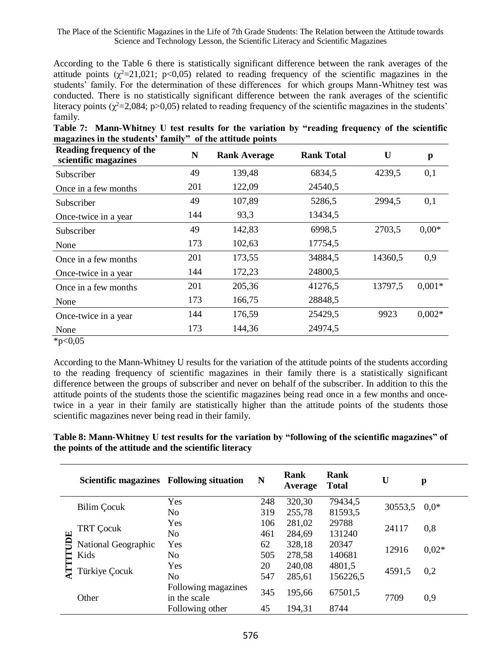According to the Table 6 there is statistically significant difference between the rank averages of the attitude points  $(\chi^2=21,021; \text{ p}<0,05)$  related to reading frequency of the scientific magazines in the students' family. For the determination of these differences for which groups Mann-Whitney test was conducted. There is no statistically significant difference between the rank averages of the scientific literacy points ( $\chi^2$ =2,084; p>0,05) related to reading frequency of the scientific magazines in the students' family.

| Table 7: Mann-Whitney U test results for the variation by "reading frequency of the scientific |  |  |  |  |
|------------------------------------------------------------------------------------------------|--|--|--|--|
| magazines in the students' family" of the attitude points                                      |  |  |  |  |

| Reading frequency of the<br>scientific magazines | N   | <b>Rank Average</b> | <b>Rank Total</b> | $\mathbf{U}$ | p        |
|--------------------------------------------------|-----|---------------------|-------------------|--------------|----------|
| Subscriber                                       | 49  | 139,48              | 6834,5            | 4239,5       | 0,1      |
| Once in a few months                             | 201 | 122,09              | 24540,5           |              |          |
| Subscriber                                       | 49  | 107,89              | 5286,5            | 2994.5       | 0,1      |
| Once-twice in a year                             | 144 | 93,3                | 13434,5           |              |          |
| Subscriber                                       | 49  | 142,83              | 6998,5            | 2703,5       | $0.00*$  |
| None                                             | 173 | 102,63              | 17754,5           |              |          |
| Once in a few months                             | 201 | 173,55              | 34884.5           | 14360.5      | 0,9      |
| Once-twice in a year                             | 144 | 172,23              | 24800,5           |              |          |
| Once in a few months                             | 201 | 205,36              | 41276,5           | 13797.5      | $0,001*$ |
| None                                             | 173 | 166,75              | 28848,5           |              |          |
| Once-twice in a year                             | 144 | 176,59              | 25429,5           | 9923         | $0.002*$ |
| None                                             | 173 | 144,36              | 24974,5           |              |          |
|                                                  |     |                     |                   |              |          |

 $*p<0,05$ 

According to the Mann-Whitney U results for the variation of the attitude points of the students according to the reading frequency of scientific magazines in their family there is a statistically significant difference between the groups of subscriber and never on behalf of the subscriber. In addition to this the attitude points of the students those the scientific magazines being read once in a few months and oncetwice in a year in their family are statistically higher than the attitude points of the students those scientific magazines never being read in their family.

**Table 8: Mann-Whitney U test results for the variation by "following of the scientific magazines" of the points of the attitude and the scientific literacy** 

|       | Scientific magazines Following situation |     | N      | Rank<br>Average | Rank<br><b>Total</b> | U       | p       |  |
|-------|------------------------------------------|-----|--------|-----------------|----------------------|---------|---------|--|
|       |                                          | Yes | 248    | 320,30          | 79434,5              |         |         |  |
|       | Bilim Cocuk                              | No  | 319    | 255,78          | 81593,5              | 30553,5 | $0.0*$  |  |
|       | TRT Cocuk                                | Yes | 106    | 281,02          | 29788                | 24117   | 0,8     |  |
| JOE   | No                                       | 461 | 284,69 | 131240          |                      |         |         |  |
|       | National Geographic<br>Kids              | Yes | 62     | 328,18          | 20347                | 12916   | $0,02*$ |  |
| ATTIT |                                          | No  | 505    | 278,58          | 140681               |         |         |  |
|       | Türkiye Çocuk                            | Yes | 20     | 240,08          | 4801,5               | 4591,5  | 0,2     |  |
|       | No                                       | 547 | 285,61 | 156226,5        |                      |         |         |  |
| Other | Following magazines<br>in the scale      | 345 | 195,66 | 67501,5         | 7709                 | 0,9     |         |  |
|       | Following other                          | 45  | 194.31 | 8744            |                      |         |         |  |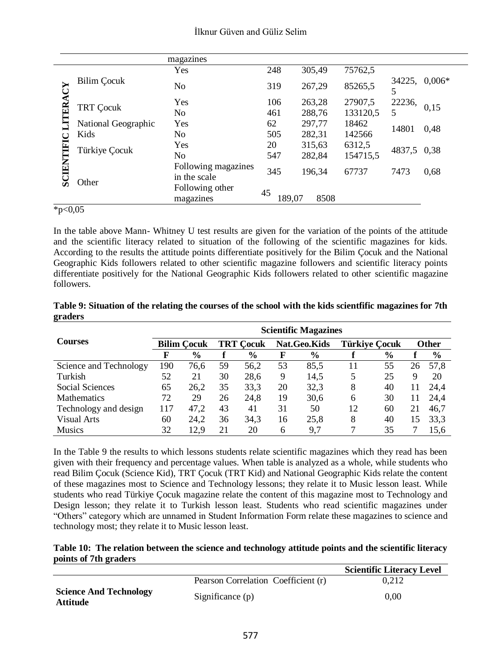|            |                     | magazines                           |              |        |          |             |             |  |
|------------|---------------------|-------------------------------------|--------------|--------|----------|-------------|-------------|--|
|            |                     | Yes                                 | 248          | 305,49 | 75762,5  |             |             |  |
| Ğ          | Bilim Çocuk         | No                                  | 319          | 267,29 | 85265,5  | 34225,<br>5 | $0,006*$    |  |
|            |                     | Yes                                 | 106          | 263,28 | 27907,5  | 22236,      |             |  |
| LITER      | <b>TRT Cocuk</b>    | N <sub>o</sub>                      | 461          | 288,76 | 133120,5 | 5           | 0,15        |  |
|            | National Geographic | Yes                                 | 62           | 297,77 | 18462    | 14801       | 0,48        |  |
|            | Kids                | No.                                 | 505          | 282,31 | 142566   |             |             |  |
|            | Türkiye Çocuk       | Yes                                 | 20           | 315,63 | 6312,5   |             | 4837,5 0,38 |  |
|            |                     | No                                  | 547          | 282,84 | 154715,5 |             |             |  |
| SCIENTIFIC | Other               | Following magazines<br>in the scale | 345          | 196,34 | 67737    | 7473        | 0.68        |  |
|            |                     | Following other<br>magazines        | 45<br>189,07 | 8508   |          |             |             |  |

 $*p<0.05$ 

In the table above Mann- Whitney U test results are given for the variation of the points of the attitude and the scientific literacy related to situation of the following of the scientific magazines for kids. According to the results the attitude points differentiate positively for the Bilim Çocuk and the National Geographic Kids followers related to other scientific magazine followers and scientific literacy points differentiate positively for the National Geographic Kids followers related to other scientific magazine followers.

|                        | <b>Scientific Magazines</b> |                    |                  |               |              |               |                      |               |              |               |
|------------------------|-----------------------------|--------------------|------------------|---------------|--------------|---------------|----------------------|---------------|--------------|---------------|
| <b>Courses</b>         |                             | <b>Bilim Cocuk</b> | <b>TRT Cocuk</b> |               | Nat.Geo.Kids |               | <b>Türkiye Cocuk</b> |               | <b>Other</b> |               |
|                        | F                           | $\%$               |                  | $\frac{6}{9}$ | F            | $\frac{6}{9}$ |                      | $\frac{6}{6}$ |              | $\frac{6}{6}$ |
| Science and Technology | 190                         | 76.6               | 59               | 56,2          | 53           | 85.5          | 11                   | 55            | 26           | 57.8          |
| Turkish                | 52                          | 21                 | 30               | 28,6          | 9            | 14,5          | 5                    | 25            | 9            | 20            |
| Social Sciences        | 65                          | 26.2               | 35               | 33,3          | 20           | 32,3          | 8                    | 40            | 11           | 24.4          |
| <b>Mathematics</b>     | 72                          | 29                 | 26               | 24.8          | 19           | 30,6          | 6                    | 30            | 11           | 24.4          |
| Technology and design  | 117                         | 47,2               | 43               | 41            | 31           | 50            | 12                   | 60            | 21           | 46.7          |
| Visual Arts            | 60                          | 24,2               | 36               | 34,3          | 16           | 25,8          | 8                    | 40            | 15           | 33,3          |
| <b>Musics</b>          | 32                          | 12.9               | 21               | 20            | 6            | 9.7           | 7                    | 35            |              | 15.6          |

**Table 9: Situation of the relating the courses of the school with the kids scientfific magazines for 7th graders** 

In the Table 9 the results to which lessons students relate scientific magazines which they read has been given with their frequency and percentage values. When table is analyzed as a whole, while students who read Bilim Çocuk (Science Kid), TRT Çocuk (TRT Kid) and National Geographic Kids relate the content of these magazines most to Science and Technology lessons; they relate it to Music lesson least. While students who read Türkiye Çocuk magazine relate the content of this magazine most to Technology and Design lesson; they relate it to Turkish lesson least. Students who read scientific magazines under "Others" category which are unnamed in Student Information Form relate these magazines to science and technology most; they relate it to Music lesson least.

#### **Table 10: The relation between the science and technology attitude points and the scientific literacy points of 7th graders**

|                                                  |                                     | <b>Scientific Literacy Level</b> |
|--------------------------------------------------|-------------------------------------|----------------------------------|
|                                                  | Pearson Correlation Coefficient (r) | 0.212                            |
| <b>Science And Technology</b><br><b>Attitude</b> | Significance $(p)$                  | 0.00                             |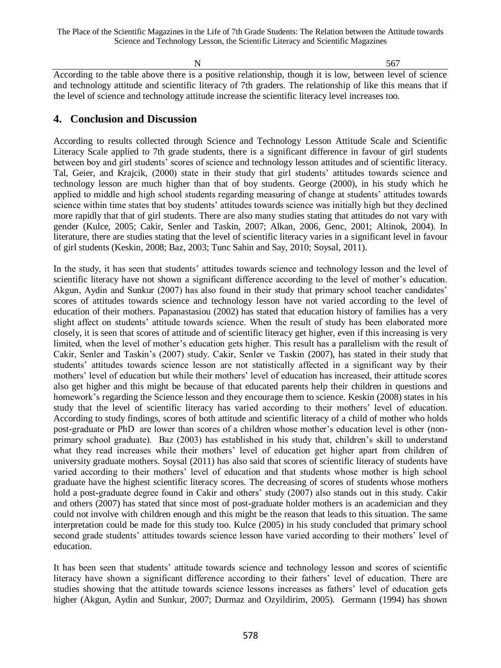$N = 567$ 

According to the table above there is a positive relationship, though it is low, between level of science and technology attitude and scientific literacy of 7th graders. The relationship of like this means that if the level of science and technology attitude increase the scientific literacy level increases too.

# **4. Conclusion and Discussion**

According to results collected through Science and Technology Lesson Attitude Scale and Scientific Literacy Scale applied to 7th grade students, there is a significant difference in favour of girl students between boy and girl students' scores of science and technology lesson attitudes and of scientific literacy. Tal, Geier, and Krajcik, (2000) state in their study that girl students' attitudes towards science and technology lesson are much higher than that of boy students. George (2000), in his study which he applied to middle and high school students regarding measuring of change at students' attitudes towards science within time states that boy students' attitudes towards science was initially high but they declined more rapidly that that of girl students. There are also many studies stating that attitudes do not vary with gender (Kulce, 2005; Cakir, Senler and Taskin, 2007; Alkan, 2006, Genc, 2001; Altinok, 2004). In literature, there are studies stating that the level of scientific literacy varies in a significant level in favour of girl students (Keskin, 2008; Baz, 2003; Tunc Sahin and Say, 2010; Soysal, 2011).

In the study, it has seen that students' attitudes towards science and technology lesson and the level of scientific literacy have not shown a significant difference according to the level of mother's education. Akgun, Aydin and Sunkur (2007) has also found in their study that primary school teacher candidates' scores of attitudes towards science and technology lesson have not varied according to the level of education of their mothers. Papanastasiou (2002) has stated that education history of families has a very slight affect on students' attitude towards science. When the result of study has been elaborated more closely, it is seen that scores of attitude and of scientific literacy get higher, even if this increasing is very limited, when the level of mother's education gets higher. This result has a parallelism with the result of Cakir, Senler and Taskin's (2007) study. Cakir, Senler ve Taskin (2007), has stated in their study that students' attitudes towards science lesson are not statistically affected in a significant way by their mothers' level of education but while their mothers' level of education has increased, their attitude scores also get higher and this might be because of that educated parents help their children in questions and homework's regarding the Science lesson and they encourage them to science. Keskin (2008) states in his study that the level of scientific literacy has varied according to their mothers' level of education. According to study findings, scores of both attitude and scientific literacy of a child of mother who holds post-graduate or PhD are lower than scores of a children whose mother's education level is other (nonprimary school graduate). Baz (2003) has established in his study that, children's skill to understand what they read increases while their mothers' level of education get higher apart from children of university graduate mothers. Soysal (2011) has also said that scores of scientific literacy of students have varied according to their mothers' level of education and that students whose mother is high school graduate have the highest scientific literacy scores. The decreasing of scores of students whose mothers hold a post-graduate degree found in Cakir and others' study (2007) also stands out in this study. Cakir and others (2007) has stated that since most of post-graduate holder mothers is an academician and they could not involve with children enough and this might be the reason that leads to this situation. The same interpretation could be made for this study too. Kulce (2005) in his study concluded that primary school second grade students' attitudes towards science lesson have varied according to their mothers' level of education.

It has been seen that students' attitude towards science and technology lesson and scores of scientific literacy have shown a significant difference according to their fathers' level of education. There are studies showing that the attitude towards science lessons increases as fathers' level of education gets higher (Akgun, Aydin and Sunkur, 2007; Durmaz and Ozyildirim, 2005). Germann (1994) has shown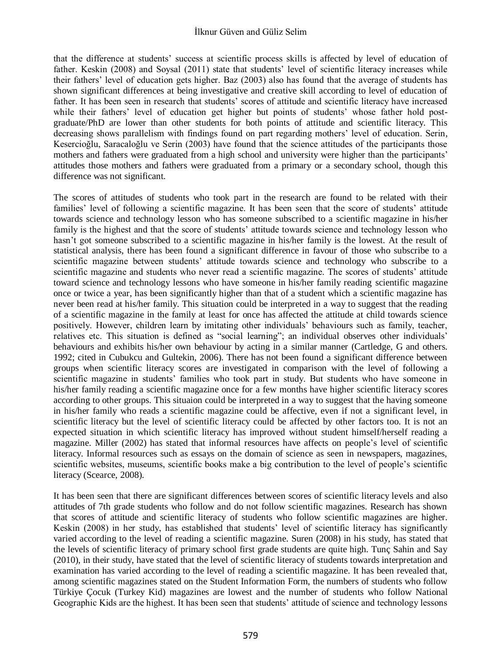that the difference at students' success at scientific process skills is affected by level of education of father. Keskin (2008) and Soysal (2011) state that students' level of scientific literacy increases while their fathers' level of education gets higher. Baz (2003) also has found that the average of students has shown significant differences at being investigative and creative skill according to level of education of father. It has been seen in research that students' scores of attitude and scientific literacy have increased while their fathers' level of education get higher but points of students' whose father hold postgraduate/PhD are lower than other students for both points of attitude and scientific literacy. This decreasing shows parallelism with findings found on part regarding mothers' level of education. Serin, Kesercioğlu, Saracaloğlu ve Serin (2003) have found that the science attitudes of the participants those mothers and fathers were graduated from a high school and university were higher than the participants' attitudes those mothers and fathers were graduated from a primary or a secondary school, though this difference was not significant.

The scores of attitudes of students who took part in the research are found to be related with their families' level of following a scientific magazine. It has been seen that the score of students' attitude towards science and technology lesson who has someone subscribed to a scientific magazine in his/her family is the highest and that the score of students' attitude towards science and technology lesson who hasn't got someone subscribed to a scientific magazine in his/her family is the lowest. At the result of statistical analysis, there has been found a significant difference in favour of those who subscribe to a scientific magazine between students' attitude towards science and technology who subscribe to a scientific magazine and students who never read a scientific magazine. The scores of students' attitude toward science and technology lessons who have someone in his/her family reading scientific magazine once or twice a year, has been significantly higher than that of a student which a scientific magazine has never been read at his/her family. This situation could be interpreted in a way to suggest that the reading of a scientific magazine in the family at least for once has affected the attitude at child towards science positively. However, children learn by imitating other individuals' behaviours such as family, teacher, relatives etc. This situation is defined as "social learning"; an individual observes other individuals' behaviours and exhibits his/her own behaviour by acting in a similar manner (Cartledge, G and others. 1992; cited in Cubukcu and Gultekin, 2006). There has not been found a significant difference between groups when scientific literacy scores are investigated in comparison with the level of following a scientific magazine in students' families who took part in study. But students who have someone in his/her family reading a scientific magazine once for a few months have higher scientific literacy scores according to other groups. This situaion could be interpreted in a way to suggest that the having someone in his/her family who reads a scientific magazine could be affective, even if not a significant level, in scientific literacy but the level of scientific literacy could be affected by other factors too. It is not an expected situation in which scientific literacy has improved without student himself/herself reading a magazine. Miller (2002) has stated that informal resources have affects on people's level of scientific literacy. Informal resources such as essays on the domain of science as seen in newspapers, magazines, scientific websites, museums, scientific books make a big contribution to the level of people's scientific literacy (Scearce, 2008).

It has been seen that there are significant differences between scores of scientific literacy levels and also attitudes of 7th grade students who follow and do not follow scientific magazines. Research has shown that scores of attitude and scientific literacy of students who follow scientific magazines are higher. Keskin (2008) in her study, has established that students' level of scientific literacy has significantly varied according to the level of reading a scientific magazine. Suren (2008) in his study, has stated that the levels of scientific literacy of primary school first grade students are quite high. Tunç Sahin and Say (2010), in their study, have stated that the level of scientific literacy of students towards interpretation and examination has varied according to the level of reading a scientific magazine. It has been revealed that, among scientific magazines stated on the Student Information Form, the numbers of students who follow Türkiye Çocuk (Turkey Kid) magazines are lowest and the number of students who follow National Geographic Kids are the highest. It has been seen that students' attitude of science and technology lessons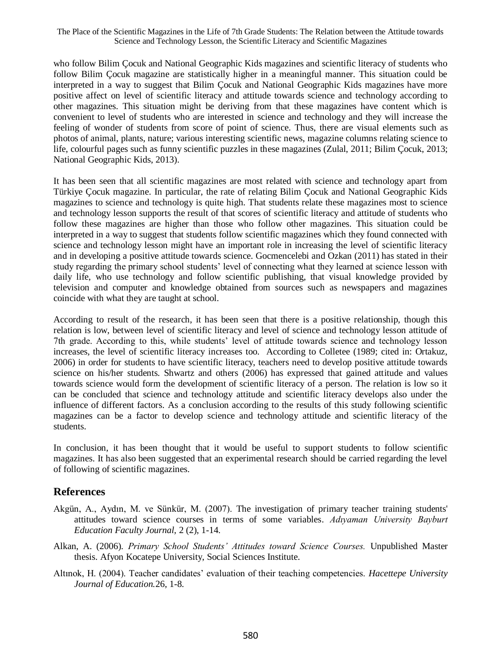who follow Bilim Çocuk and National Geographic Kids magazines and scientific literacy of students who follow Bilim Çocuk magazine are statistically higher in a meaningful manner. This situation could be interpreted in a way to suggest that Bilim Çocuk and National Geographic Kids magazines have more positive affect on level of scientific literacy and attitude towards science and technology according to other magazines. This situation might be deriving from that these magazines have content which is convenient to level of students who are interested in science and technology and they will increase the feeling of wonder of students from score of point of science. Thus, there are visual elements such as photos of animal, plants, nature; various interesting scientific news, magazine columns relating science to life, colourful pages such as funny scientific puzzles in these magazines (Zulal, 2011; Bilim Çocuk, 2013; National Geographic Kids, 2013).

It has been seen that all scientific magazines are most related with science and technology apart from Türkiye Çocuk magazine. In particular, the rate of relating Bilim Çocuk and National Geographic Kids magazines to science and technology is quite high. That students relate these magazines most to science and technology lesson supports the result of that scores of scientific literacy and attitude of students who follow these magazines are higher than those who follow other magazines. This situation could be interpreted in a way to suggest that students follow scientific magazines which they found connected with science and technology lesson might have an important role in increasing the level of scientific literacy and in developing a positive attitude towards science. Gocmencelebi and Ozkan (2011) has stated in their study regarding the primary school students' level of connecting what they learned at science lesson with daily life, who use technology and follow scientific publishing, that visual knowledge provided by television and computer and knowledge obtained from sources such as newspapers and magazines coincide with what they are taught at school.

According to result of the research, it has been seen that there is a positive relationship, though this relation is low, between level of scientific literacy and level of science and technology lesson attitude of 7th grade. According to this, while students' level of attitude towards science and technology lesson increases, the level of scientific literacy increases too. According to Colletee (1989; cited in: Ortakuz, 2006) in order for students to have scientific literacy, teachers need to develop positive attitude towards science on his/her students. Shwartz and others (2006) has expressed that gained attitude and values towards science would form the development of scientific literacy of a person. The relation is low so it can be concluded that science and technology attitude and scientific literacy develops also under the influence of different factors. As a conclusion according to the results of this study following scientific magazines can be a factor to develop science and technology attitude and scientific literacy of the students.

In conclusion, it has been thought that it would be useful to support students to follow scientific magazines. It has also been suggested that an experimental research should be carried regarding the level of following of scientific magazines.

# **References**

- Akgün, A., Aydın, M. ve Sünkür, M. (2007). The investigation of primary teacher training students' attitudes toward science courses in terms of some variables. *Adıyaman University Bayburt Education Faculty Journal,* 2 (2), 1-14.
- Alkan, A. (2006). *Primary School Students' Attitudes toward Science Courses.* Unpublished Master thesis. Afyon Kocatepe University, Social Sciences Institute.
- Altınok, H. (2004). Teacher candidates' evaluation of their teaching competencies. *Hacettepe University Journal of Education.*26, 1-8.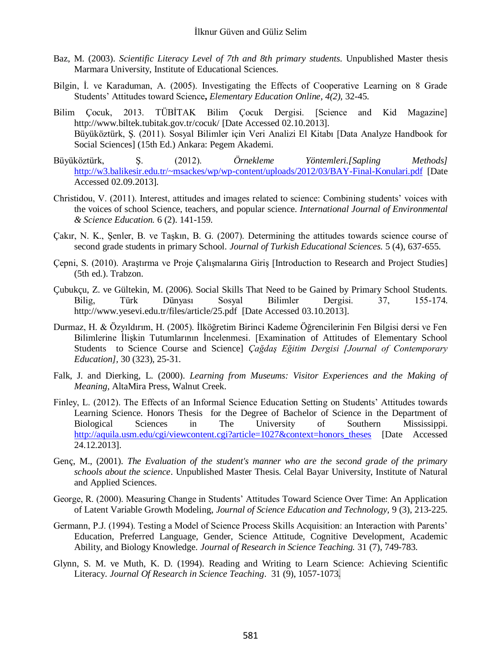- Baz, M. (2003). *Scientific Literacy Level of 7th and 8th primary students*. Unpublished Master thesis Marmara University, Institute of Educational Sciences.
- Bilgin, İ. ve Karaduman, A. (2005). Investigating the Effects of Cooperative Learning on 8 Grade Students' Attitudes toward Science**,** *Elementary Education Online*, *4(2),* 32-45.
- Bilim Çocuk, 2013. TÜBİTAK Bilim Çocuk Dergisi. [Science and Kid Magazine] <http://www.biltek.tubitak.gov.tr/cocuk/> [Date Accessed 02.10.2013]. Büyüköztürk, Ş. (2011). Sosyal Bilimler için Veri Analizi El Kitabı [Data Analyze Handbook for Social Sciences] (15th Ed.) Ankara: Pegem Akademi.
- Büyüköztürk, Ş. (2012). *Örnekleme Yöntemleri.[Sapling Methods]*  <http://w3.balikesir.edu.tr/~msackes/wp/wp-content/uploads/2012/03/BAY-Final-Konulari.pdf> [Date Accessed 02.09.2013].
- Christidou, V. (2011). Interest, attitudes and images related to science: Combining students' voices with the voices of school Science, teachers, and popular science. *International Journal of Environmental & Science Education.* 6 (2). 141-159.
- Çakır, N. K., Şenler, B. ve Taşkın, B. G. (2007). Determining the attitudes towards science course of second grade students in primary School. *Journal of Turkish Educational Sciences.* 5 (4), 637-655.
- Çepni, S. (2010). Araştırma ve Proje Çalışmalarına Giriş [Introduction to Research and Project Studies] (5th ed.). Trabzon.
- Çubukçu, Z. ve Gültekin, M. (2006). Social Skills That Need to be Gained by Primary School Students. Bilig, Türk Dünyası Sosyal Bilimler Dergisi. 37, 155-174. <http://www.yesevi.edu.tr/files/article/25.pdf>[Date Accessed 03.10.2013].
- Durmaz, H. & Özyıldırım, H. (2005). İlköğretim Birinci Kademe Öğrencilerinin Fen Bilgisi dersi ve Fen Bilimlerine İlişkin Tutumlarının İncelenmesi. [Examination of Attitudes of Elementary School Students to Science Course and Science] *Çağdaş Eğitim Dergisi [Journal of Contemporary Education],* 30 (323), 25-31.
- Falk, J. and Dierking, L. (2000). *Learning from Museums: Visitor Experiences and the Making of Meaning,* AltaMira Press, Walnut Creek.
- Finley, L. (2012). The Effects of an Informal Science Education Setting on Students' Attitudes towards Learning Science. Honors Thesis for the Degree of Bachelor of Science in the Department of Biological Sciences in The University of Southern Mississippi. [http://aquila.usm.edu/cgi/viewcontent.cgi?article=1027&context=honors\\_theses](http://aquila.usm.edu/cgi/viewcontent.cgi?article=1027&context=honors_theses) [Date Accessed 24.12.2013].
- Genç, M., (2001). *The Evaluation of the student's manner who are the second grade of the primary schools about the science*. Unpublished Master Thesis. Celal Bayar University, Institute of Natural and Applied Sciences.
- George, R. (2000). Measuring Change in Students' Attitudes Toward Science Over Time: An Application of Latent Variable Growth Modeling, *Journal of Science Education and Technology,* 9 (3), 213-225.
- Germann, P.J. (1994). Testing a Model of Science Process Skills Acquisition: an Interaction with Parents' Education, Preferred Language, Gender, Science Attitude, Cognitive Development, Academic Ability, and Biology Knowledge. *Journal of Research in Science Teaching.* 31 (7), 749-783.
- Glynn, S. M. ve Muth, K. D. (1994). Reading and Writing to Learn Science: Achieving Scientific Literacy. *Journal Of Research in Science Teaching*. 31 (9), 1057-1073.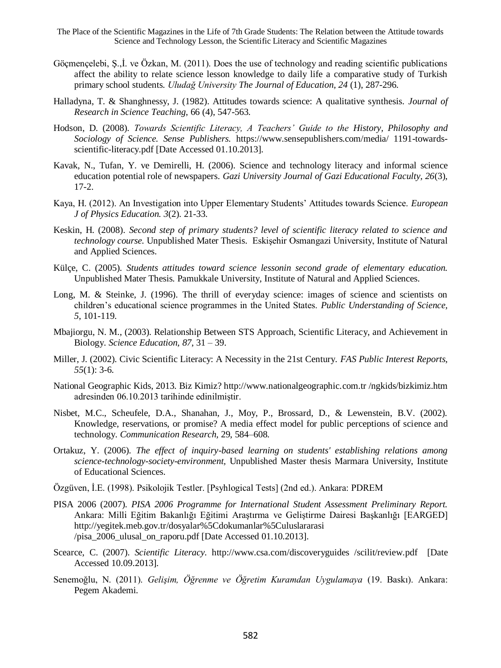- Göçmençelebi, Ş.,İ. ve Özkan, M. (2011). Does the use of technology and reading scientific publications affect the ability to relate science lesson knowledge to daily life a comparative study of Turkish primary school students. *Uludağ University The Journal of Education, 24* (1), 287-296.
- Halladyna, T. & Shanghnessy, J. (1982). Attitudes towards science: A qualitative synthesis. *Journal of Research in Science Teaching*, 66 (4), 547-563.
- Hodson, D. (2008). *Towards Scientific Literacy, A Teachers' Guide to the History, Philosophy and Sociology of Science. Sense Publishers.* https://www.sensepublishers.com/media/ 1191-towardsscientific-literacy.pdf [Date Accessed 01.10.2013].
- Kavak, N., Tufan, Y. ve Demirelli, H. (2006). Science and technology literacy and informal science education potential role of newspapers. *Gazi University Journal of Gazi Educational Faculty, 26*(3), 17-2.
- Kaya, H. (2012). An Investigation into Upper Elementary Students' Attitudes towards Science. *European J of Physics Education. 3*(2). 21-33.
- Keskin, H. (2008). *Second step of primary students? level of scientific literacy related to science and technology course.* Unpublished Mater Thesis*.* Eskişehir Osmangazi University, Institute of Natural and Applied Sciences.
- Külçe, C. (2005). *Students attitudes toward science lessonin second grade of elementary education.*  Unpublished Mater Thesis. Pamukkale University, Institute of Natural and Applied Sciences.
- Long, M. & Steinke, J. (1996). The thrill of everyday science: images of science and scientists on children's educational science programmes in the United States. *Public Understanding of Science, 5*, 101-119.
- Mbajiorgu, N. M., (2003). Relationship Between STS Approach, Scientific Literacy, and Achievement in Biology. *Science Education, 87*, 31 – 39.
- Miller, J. (2002). Civic Scientific Literacy: A Necessity in the 21st Century. *FAS Public Interest Reports, 55*(1): 3-6.
- National Geographic Kids, 2013. Biz Kimiz? http://www.nationalgeographic.com.tr /ngkids/bizkimiz.htm adresinden 06.10.2013 tarihinde edinilmiştir.
- Nisbet, M.C., Scheufele, D.A., Shanahan, J., Moy, P., Brossard, D., & Lewenstein, B.V. (2002). Knowledge, reservations, or promise? A media effect model for public perceptions of science and technology. *Communication Research,* 29, 584–608.
- Ortakuz, Y. (2006). *The effect of inquiry-based learning on students' establishing relations among science-technology-society-environment,* Unpublished Master thesis Marmara University, Institute of Educational Sciences.
- Özgüven, İ.E. (1998). Psikolojik Testler. [Psyhlogical Tests] (2nd ed.). Ankara: PDREM
- PISA 2006 (2007). *PISA 2006 Programme for International Student Assessment Preliminary Report.* Ankara: Milli Eğitim Bakanlığı Eğitimi Araştırma ve Geliştirme Dairesi Başkanlığı [EARGED] http://yegitek.meb.gov.tr/dosyalar%5Cdokumanlar%5Culuslararasi /pisa\_2006\_ulusal\_on\_raporu.pdf [Date Accessed 01.10.2013].
- Scearce, C. (2007). *Scientific Literacy.* http://www.csa.com/discoveryguides /scilit/review.pdf [Date Accessed 10.09.2013].
- Senemoğlu, N. (2011). *Gelişim, Öğrenme ve Öğretim Kuramdan Uygulamaya* (19. Baskı). Ankara: Pegem Akademi.